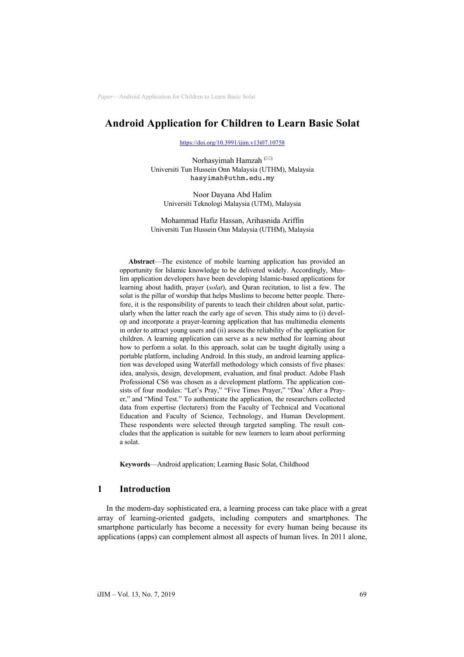# **Android Application for Children to Learn Basic Solat**

https://doi.org/10.3991/ijim.v13i07.10758

[Norhasyimah Hamzah](https://doi.org/10.3991/ijim.v13i07.10758) (\*) [Universiti Tun Hu](https://doi.org/10.3991/ijim.v13i07.10758)ssein Onn Malaysia (UTHM), Malaysia hasyimah@uthm.edu.my

Noor Dayana Abd Halim Universiti Teknologi Malaysia (UTM), Malaysia

Mohammad Hafiz Hassan, Arihasnida Ariffin Universiti Tun Hussein Onn Malaysia (UTHM), Malaysia

**Abstract**—The existence of mobile learning application has provided an opportunity for Islamic knowledge to be delivered widely. Accordingly, Muslim application developers have been developing Islamic-based applications for learning about hadith, prayer (*solat*), and Quran recitation, to list a few. The solat is the pillar of worship that helps Muslims to become better people. Therefore, it is the responsibility of parents to teach their children about solat, particularly when the latter reach the early age of seven. This study aims to (i) develop and incorporate a prayer-learning application that has multimedia elements in order to attract young users and (ii) assess the reliability of the application for children. A learning application can serve as a new method for learning about how to perform a solat. In this approach, solat can be taught digitally using a portable platform, including Android. In this study, an android learning application was developed using Waterfall methodology which consists of five phases: idea, analysis, design, development, evaluation, and final product. Adobe Flash Professional CS6 was chosen as a development platform. The application consists of four modules: "Let's Pray," "Five Times Prayer," "Doa' After a Prayer," and "Mind Test." To authenticate the application, the researchers collected data from expertise (lecturers) from the Faculty of Technical and Vocational Education and Faculty of Science, Technology, and Human Development. These respondents were selected through targeted sampling. The result concludes that the application is suitable for new learners to learn about performing a solat.

**Keywords**—Android application; Learning Basic Solat, Childhood

### **1 Introduction**

In the modern-day sophisticated era, a learning process can take place with a great array of learning-oriented gadgets, including computers and smartphones. The smartphone particularly has become a necessity for every human being because its applications (apps) can complement almost all aspects of human lives. In 2011 alone,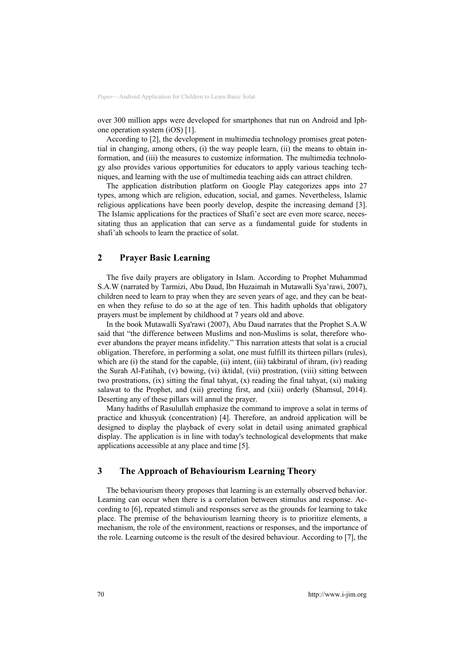over 300 million apps were developed for smartphones that run on Android and Iphone operation system (iOS) [1].

According to [2], the development in multimedia technology promises great potential in changing, among others, (i) the way people learn, (ii) the means to obtain information, and (iii) the measures to customize information. The multimedia technology also provides various opportunities for educators to apply various teaching techniques, and learning with the use of multimedia teaching aids can attract children.

The application distribution platform on Google Play categorizes apps into 27 types, among which are religion, education, social, and games. Nevertheless, Islamic religious applications have been poorly develop, despite the increasing demand [3]. The Islamic applications for the practices of Shafi'e sect are even more scarce, necessitating thus an application that can serve as a fundamental guide for students in shafi'ah schools to learn the practice of solat.

### **2 Prayer Basic Learning**

The five daily prayers are obligatory in Islam. According to Prophet Muhammad S.A.W (narrated by Tarmizi, Abu Daud, Ibn Huzaimah in Mutawalli Sya'rawi, 2007), children need to learn to pray when they are seven years of age, and they can be beaten when they refuse to do so at the age of ten. This hadith upholds that obligatory prayers must be implement by childhood at 7 years old and above.

In the book Mutawalli Sya'rawi (2007), Abu Daud narrates that the Prophet S.A.W said that "the difference between Muslims and non-Muslims is solat, therefore whoever abandons the prayer means infidelity." This narration attests that solat is a crucial obligation. Therefore, in performing a solat, one must fulfill its thirteen pillars (rules), which are (i) the stand for the capable, (ii) intent, (iii) takbiratul of ihram, (iv) reading the Surah Al-Fatihah, (v) bowing, (vi) iktidal, (vii) prostration, (viii) sitting between two prostrations,  $(ix)$  sitting the final tahyat,  $(x)$  reading the final tahyat,  $(xi)$  making salawat to the Prophet, and (xii) greeting first, and (xiii) orderly (Shamsul, 2014). Deserting any of these pillars will annul the prayer.

Many hadiths of Rasulullah emphasize the command to improve a solat in terms of practice and khusyuk (concentration) [4]. Therefore, an android application will be designed to display the playback of every solat in detail using animated graphical display. The application is in line with today's technological developments that make applications accessible at any place and time [5].

#### **3 The Approach of Behaviourism Learning Theory**

The behaviourism theory proposes that learning is an externally observed behavior. Learning can occur when there is a correlation between stimulus and response. According to [6], repeated stimuli and responses serve as the grounds for learning to take place. The premise of the behaviourism learning theory is to prioritize elements, a mechanism, the role of the environment, reactions or responses, and the importance of the role. Learning outcome is the result of the desired behaviour. According to [7], the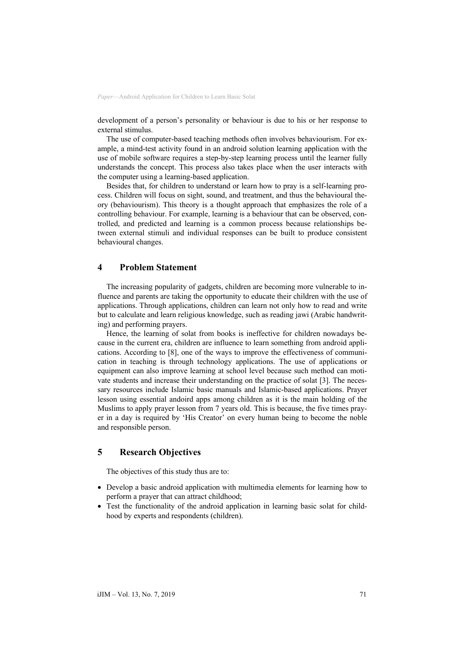development of a person's personality or behaviour is due to his or her response to external stimulus.

The use of computer-based teaching methods often involves behaviourism. For example, a mind-test activity found in an android solution learning application with the use of mobile software requires a step-by-step learning process until the learner fully understands the concept. This process also takes place when the user interacts with the computer using a learning-based application.

Besides that, for children to understand or learn how to pray is a self-learning process. Children will focus on sight, sound, and treatment, and thus the behavioural theory (behaviourism). This theory is a thought approach that emphasizes the role of a controlling behaviour. For example, learning is a behaviour that can be observed, controlled, and predicted and learning is a common process because relationships between external stimuli and individual responses can be built to produce consistent behavioural changes.

#### **4 Problem Statement**

The increasing popularity of gadgets, children are becoming more vulnerable to influence and parents are taking the opportunity to educate their children with the use of applications. Through applications, children can learn not only how to read and write but to calculate and learn religious knowledge, such as reading jawi (Arabic handwriting) and performing prayers.

Hence, the learning of solat from books is ineffective for children nowadays because in the current era, children are influence to learn something from android applications. According to [8], one of the ways to improve the effectiveness of communication in teaching is through technology applications. The use of applications or equipment can also improve learning at school level because such method can motivate students and increase their understanding on the practice of solat [3]. The necessary resources include Islamic basic manuals and Islamic-based applications. Prayer lesson using essential andoird apps among children as it is the main holding of the Muslims to apply prayer lesson from 7 years old. This is because, the five times prayer in a day is required by 'His Creator' on every human being to become the noble and responsible person.

### **5 Research Objectives**

The objectives of this study thus are to:

- Develop a basic android application with multimedia elements for learning how to perform a prayer that can attract childhood;
- Test the functionality of the android application in learning basic solat for childhood by experts and respondents (children).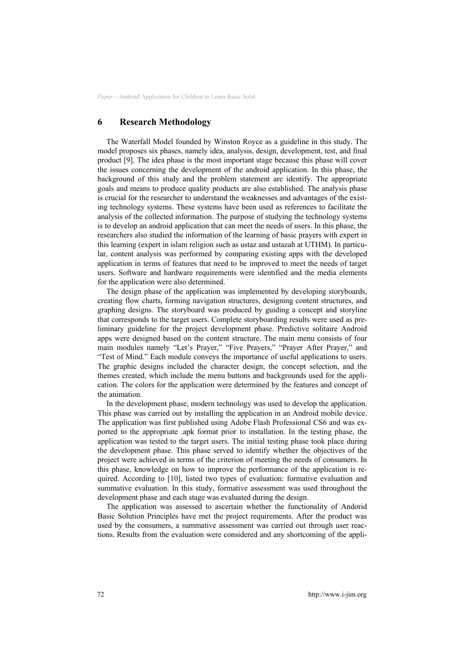#### **6 Research Methodology**

The Waterfall Model founded by Winston Royce as a guideline in this study. The model proposes six phases, namely idea, analysis, design, development, test, and final product [9]. The idea phase is the most important stage because this phase will cover the issues concerning the development of the android application. In this phase, the background of this study and the problem statement are identify. The appropriate goals and means to produce quality products are also established. The analysis phase is crucial for the researcher to understand the weaknesses and advantages of the existing technology systems. These systems have been used as references to facilitate the analysis of the collected information. The purpose of studying the technology systems is to develop an android application that can meet the needs of users. In this phase, the researchers also studied the information of the learning of basic prayers with expert in this learning (expert in islam religion such as ustaz and ustazah at UTHM). In particular, content analysis was performed by comparing existing apps with the developed application in terms of features that need to be improved to meet the needs of target users. Software and hardware requirements were identified and the media elements for the application were also determined.

The design phase of the application was implemented by developing storyboards, creating flow charts, forming navigation structures, designing content structures, and graphing designs. The storyboard was produced by guiding a concept and storyline that corresponds to the target users. Complete storyboarding results were used as preliminary guideline for the project development phase. Predictive solitaire Android apps were designed based on the content structure. The main menu consists of four main modules namely "Let's Prayer," "Five Prayers," "Prayer After Prayer," and "Test of Mind." Each module conveys the importance of useful applications to users. The graphic designs included the character design, the concept selection, and the themes created, which include the menu buttons and backgrounds used for the application. The colors for the application were determined by the features and concept of the animation.

In the development phase, modern technology was used to develop the application. This phase was carried out by installing the application in an Android mobile device. The application was first published using Adobe Flash Professional CS6 and was exported to the appropriate .apk format prior to installation. In the testing phase, the application was tested to the target users. The initial testing phase took place during the development phase. This phase served to identify whether the objectives of the project were achieved in terms of the criterion of meeting the needs of consumers. In this phase, knowledge on how to improve the performance of the application is required. According to [10], listed two types of evaluation: formative evaluation and summative evaluation. In this study, formative assessment was used throughout the development phase and each stage was evaluated during the design.

The application was assessed to ascertain whether the functionality of Andorid Basic Solution Principles have met the project requirements. After the product was used by the consumers, a summative assessment was carried out through user reactions. Results from the evaluation were considered and any shortcoming of the appli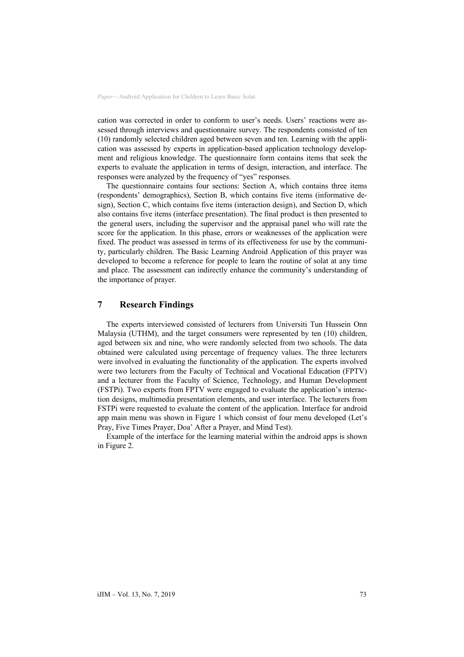cation was corrected in order to conform to user's needs. Users' reactions were assessed through interviews and questionnaire survey. The respondents consisted of ten (10) randomly selected children aged between seven and ten. Learning with the application was assessed by experts in application-based application technology development and religious knowledge. The questionnaire form contains items that seek the experts to evaluate the application in terms of design, interaction, and interface. The responses were analyzed by the frequency of "yes" responses.

The questionnaire contains four sections: Section A, which contains three items (respondents' demographics), Section B, which contains five items (informative design), Section C, which contains five items (interaction design), and Section D, which also contains five items (interface presentation). The final product is then presented to the general users, including the supervisor and the appraisal panel who will rate the score for the application. In this phase, errors or weaknesses of the application were fixed. The product was assessed in terms of its effectiveness for use by the community, particularly children. The Basic Learning Android Application of this prayer was developed to become a reference for people to learn the routine of solat at any time and place. The assessment can indirectly enhance the community's understanding of the importance of prayer.

### **7 Research Findings**

The experts interviewed consisted of lecturers from Universiti Tun Hussein Onn Malaysia (UTHM), and the target consumers were represented by ten (10) children, aged between six and nine, who were randomly selected from two schools. The data obtained were calculated using percentage of frequency values. The three lecturers were involved in evaluating the functionality of the application. The experts involved were two lecturers from the Faculty of Technical and Vocational Education (FPTV) and a lecturer from the Faculty of Science, Technology, and Human Development (FSTPi). Two experts from FPTV were engaged to evaluate the application's interaction designs, multimedia presentation elements, and user interface. The lecturers from FSTPi were requested to evaluate the content of the application. Interface for android app main menu was shown in Figure 1 which consist of four menu developed (Let's Pray, Five Times Prayer, Doa' After a Prayer, and Mind Test).

Example of the interface for the learning material within the android apps is shown in Figure 2.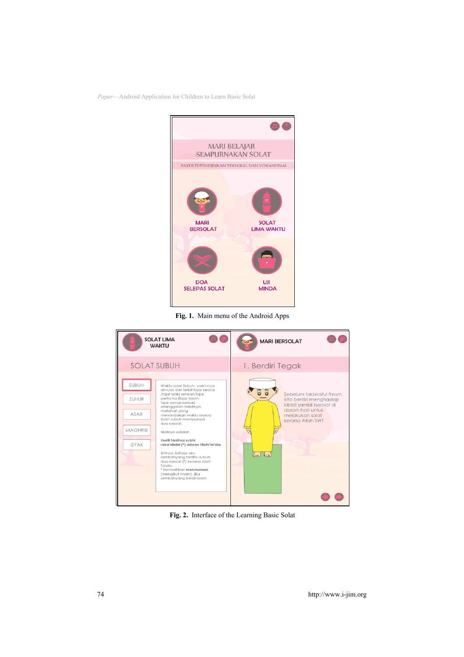

**Fig. 1.** Main menu of the Android Apps



**Fig. 2.** Interface of the Learning Basic Solat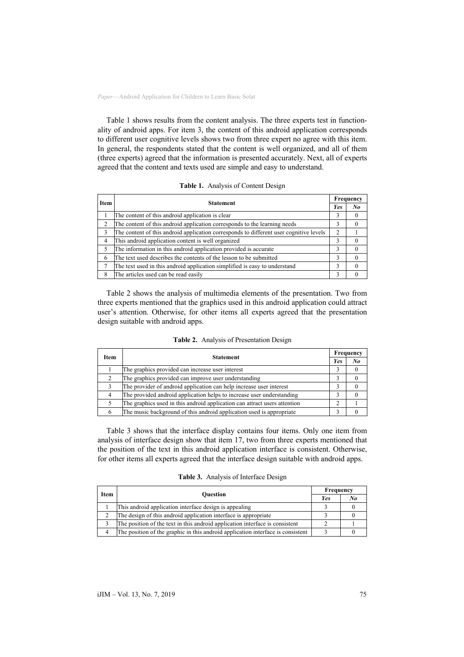Table 1 shows results from the content analysis. The three experts test in functionality of android apps. For item 3, the content of this android application corresponds to different user cognitive levels shows two from three expert no agree with this item. In general, the respondents stated that the content is well organized, and all of them (three experts) agreed that the information is presented accurately. Next, all of experts agreed that the content and texts used are simple and easy to understand.

| Item | <b>Statement</b>                                                                       | Frequency     |          |
|------|----------------------------------------------------------------------------------------|---------------|----------|
|      |                                                                                        | <b>Yes</b>    | $N_{0}$  |
|      | The content of this android application is clear                                       |               | $\theta$ |
| 2    | The content of this android application corresponds to the learning needs              | 3             |          |
| 3    | The content of this android application corresponds to different user cognitive levels | $\mathcal{L}$ |          |
| 4    | This android application content is well organized                                     | 3             | $\Omega$ |
|      | The information in this android application provided is accurate                       | 3             |          |
| 6    | The text used describes the contents of the lesson to be submitted                     | ٩             | $\Omega$ |
|      | The text used in this android application simplified is easy to understand             | 3             | $\Omega$ |
| 8    | The articles used can be read easily                                                   |               |          |

Table 2 shows the analysis of multimedia elements of the presentation. Two from three experts mentioned that the graphics used in this android application could attract user's attention. Otherwise, for other items all experts agreed that the presentation design suitable with android apps.

| <b>Item</b> | <b>Statement</b>                                                          |            | Frequency |  |
|-------------|---------------------------------------------------------------------------|------------|-----------|--|
|             |                                                                           | <b>Yes</b> | No        |  |
|             | The graphics provided can increase user interest                          |            |           |  |
|             | The graphics provided can improve user understanding                      |            |           |  |
|             | The provider of android application can help increase user interest       |            |           |  |
| 4           | The provided android application helps to increase user understanding     |            |           |  |
|             | The graphics used in this android application can attract users attention |            |           |  |
|             | The music background of this android application used is appropriate      |            |           |  |

**Table 2.** Analysis of Presentation Design

Table 3 shows that the interface display contains four items. Only one item from analysis of interface design show that item 17, two from three experts mentioned that the position of the text in this android application interface is consistent. Otherwise, for other items all experts agreed that the interface design suitable with android apps.

|  | Table 3. Analysis of Interface Design |  |
|--|---------------------------------------|--|
|  |                                       |  |

| Item | <b>Ouestion</b>                                                                 | Frequency |    |  |
|------|---------------------------------------------------------------------------------|-----------|----|--|
|      |                                                                                 | Yes       | No |  |
|      | This android application interface design is appealing                          |           |    |  |
|      | The design of this android application interface is appropriate                 |           |    |  |
|      | The position of the text in this android application interface is consistent    |           |    |  |
|      | The position of the graphic in this android application interface is consistent |           |    |  |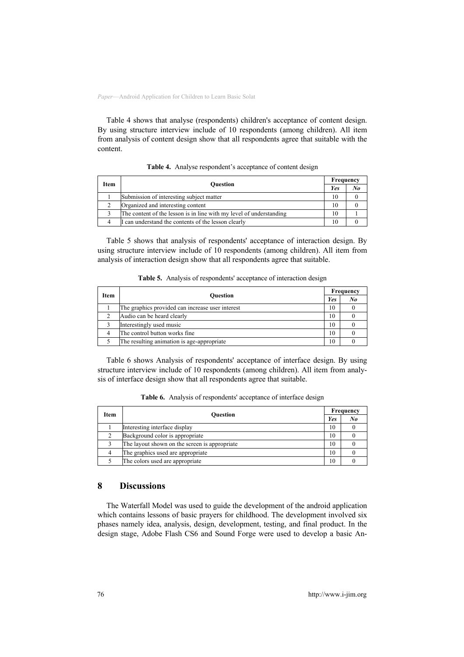Table 4 shows that analyse (respondents) children's acceptance of content design. By using structure interview include of 10 respondents (among children). All item from analysis of content design show that all respondents agree that suitable with the content.

|      |                                                                     | Frequency |  |
|------|---------------------------------------------------------------------|-----------|--|
| ltem | <b>Ouestion</b>                                                     | Yes<br>No |  |
|      | Submission of interesting subject matter                            | 10        |  |
|      | Organized and interesting content                                   | 10        |  |
|      | The content of the lesson is in line with my level of understanding | 10        |  |
|      | I can understand the contents of the lesson clearly                 | 10        |  |

**Table 4.** Analyse respondent's acceptance of content design

Table 5 shows that analysis of respondents' acceptance of interaction design. By using structure interview include of 10 respondents (among children). All item from analysis of interaction design show that all respondents agree that suitable.

**Table 5.** Analysis of respondents' acceptance of interaction design

| Item |                                                  | Frequency |    |
|------|--------------------------------------------------|-----------|----|
|      | <b>Ouestion</b>                                  | Yes       | No |
|      | The graphics provided can increase user interest | 10        |    |
|      | Audio can be heard clearly                       | 10        |    |
|      | Interestingly used music                         | 10        |    |
|      | The control button works fine                    | 10        |    |
|      | The resulting animation is age-appropriate       | 10        |    |

Table 6 shows Analysis of respondents' acceptance of interface design. By using structure interview include of 10 respondents (among children). All item from analysis of interface design show that all respondents agree that suitable.

**Table 6.** Analysis of respondents' acceptance of interface design

| Item | <b>Ouestion</b>                               | Frequency |    |
|------|-----------------------------------------------|-----------|----|
|      |                                               | Yes       | No |
|      | Interesting interface display                 | 10        |    |
|      | Background color is appropriate               | 10        |    |
|      | The layout shown on the screen is appropriate | 10        |    |
|      | The graphics used are appropriate             | 10        |    |
|      | The colors used are appropriate               | 10        |    |

### **8 Discussions**

The Waterfall Model was used to guide the development of the android application which contains lessons of basic prayers for childhood. The development involved six phases namely idea, analysis, design, development, testing, and final product. In the design stage, Adobe Flash CS6 and Sound Forge were used to develop a basic An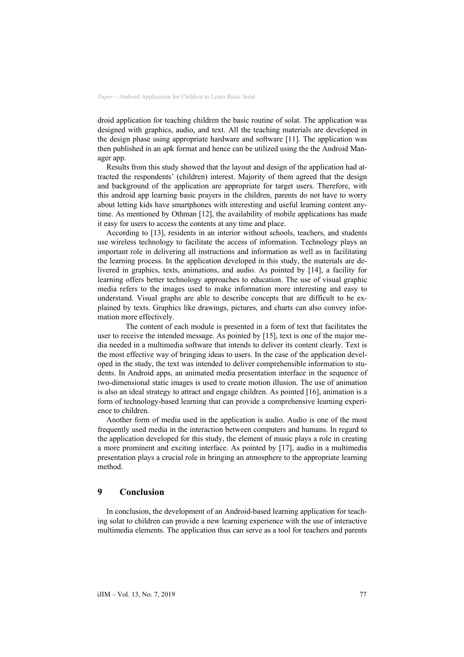droid application for teaching children the basic routine of solat. The application was designed with graphics, audio, and text. All the teaching materials are developed in the design phase using appropriate hardware and software [11]. The application was then published in an apk format and hence can be utilized using the the Android Manager app.

Results from this study showed that the layout and design of the application had attracted the respondents' (children) interest. Majority of them agreed that the design and background of the application are appropriate for target users. Therefore, with this android app learning basic prayers in the children, parents do not have to worry about letting kids have smartphones with interesting and useful learning content anytime. As mentioned by Othman [12], the availability of mobile applications has made it easy for users to access the contents at any time and place.

According to [13], residents in an interior without schools, teachers, and students use wireless technology to facilitate the access of information. Technology plays an important role in delivering all instructions and information as well as in facilitating the learning process. In the application developed in this study, the materials are delivered in graphics, texts, animations, and audio. As pointed by [14], a facility for learning offers better technology approaches to education. The use of visual graphic media refers to the images used to make information more interesting and easy to understand. Visual graphs are able to describe concepts that are difficult to be explained by texts. Graphics like drawings, pictures, and charts can also convey information more effectively.

The content of each module is presented in a form of text that facilitates the user to receive the intended message. As pointed by [15], text is one of the major media needed in a multimedia software that intends to deliver its content clearly. Text is the most effective way of bringing ideas to users. In the case of the application developed in the study, the text was intended to deliver comprehensible information to students. In Android apps, an animated media presentation interface in the sequence of two-dimensional static images is used to create motion illusion. The use of animation is also an ideal strategy to attract and engage children. As pointed [16], animation is a form of technology-based learning that can provide a comprehensive learning experience to children.

Another form of media used in the application is audio. Audio is one of the most frequently used media in the interaction between computers and humans. In regard to the application developed for this study, the element of music plays a role in creating a more prominent and exciting interface. As pointed by [17], audio in a multimedia presentation plays a crucial role in bringing an atmosphere to the appropriate learning method.

## **9 Conclusion**

In conclusion, the development of an Android-based learning application for teaching solat to children can provide a new learning experience with the use of interactive multimedia elements. The application thus can serve as a tool for teachers and parents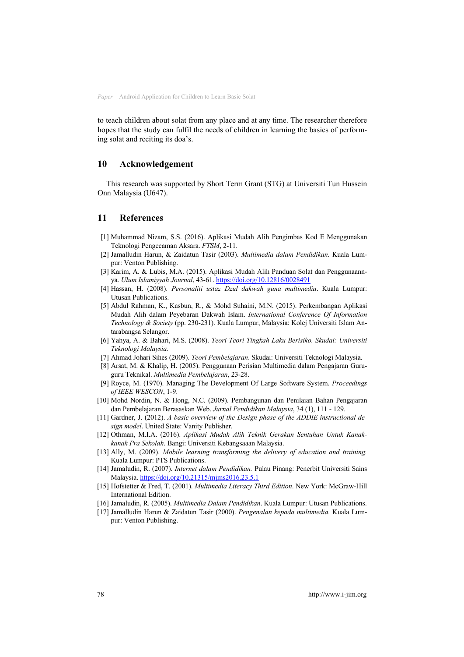to teach children about solat from any place and at any time. The researcher therefore hopes that the study can fulfil the needs of children in learning the basics of performing solat and reciting its doa's.

#### **10 Acknowledgement**

This research was supported by Short Term Grant (STG) at Universiti Tun Hussein Onn Malaysia (U647).

### **11 References**

- [1] Muhammad Nizam, S.S. (2016). Aplikasi Mudah Alih Pengimbas Kod E Menggunakan Teknologi Pengecaman Aksara. *FTSM*, 2-11.
- [2] Jamalludin Harun, & Zaidatun Tasir (2003). *Multimedia dalam Pendidikan.* Kuala Lumpur: Venton Publishing.
- [3] Karim, A. & Lubis, M.A. (2015). Aplikasi Mudah Alih Panduan Solat dan Penggunaannya. *Ulum Islamiyyah Journal*, 43-61. https://doi.org/10.12816/0028491
- [4] [Hassan, H. \(2008\).](https://doi.org/10.12816/0028491) *Personaliti ustaz Dzul dakwah guna multimedia*. Kuala Lumpur: Utusan Publications.
- [5] Abdul Rahman, K., Kasbun, R., & Mohd Suhaini, M.N. (2015). Perkembangan Aplikasi Mudah Alih dalam Peyebaran Dakwah Islam. *International Conference Of Information Technology & Society* (pp. 230-231). Kuala Lumpur, Malaysia: Kolej Universiti Islam Antarabangsa Selangor.
- [6] Yahya, A. & Bahari, M.S. (2008). *Teori-Teori Tingkah Laku Berisiko. Skudai: Universiti Teknologi Malaysia.*
- [7] Ahmad Johari Sihes (2009). *Teori Pembelajaran*. Skudai: Universiti Teknologi Malaysia.
- [8] Arsat, M. & Khalip, H. (2005). Penggunaan Perisian Multimedia dalam Pengajaran Guruguru Teknikal. *Multimedia Pembelajaran*, 23-28.
- [9] Royce, M. (1970). Managing The Development Of Large Software System. *Proceedings of IEEE WESCON*, 1-9.
- [10] Mohd Nordin, N. & Hong, N.C. (2009). Pembangunan dan Penilaian Bahan Pengajaran dan Pembelajaran Berasaskan Web. *Jurnal Pendidikan Malaysia*, 34 (1), 111 - 129.
- [11] Gardner, J. (2012). *A basic overview of the Design phase of the ADDIE instructional design model*. United State: Vanity Publisher.
- [12] Othman, M.I.A. (2016). *Aplikasi Mudah Alih Teknik Gerakan Sentuhan Untuk Kanakkanak Pra Sekolah*. Bangi: Universiti Kebangsaaan Malaysia.
- [13] Ally, M. (2009). *Mobile learning transforming the delivery of education and training.*  Kuala Lumpur: PTS Publications.
- [14] Jamaludin, R. (2007). *Internet dalam Pendidikan.* Pulau Pinang: Penerbit Universiti Sains Malaysia. https://doi.org/10.21315/mjms2016.23.5.1
- [15] [Hofstetter & Fred, T. \(2001\).](https://doi.org/10.21315/mjms2016.23.5.1) *Multimedia Literacy Third Edition*. New York: McGraw-Hill International Edition.
- [16] Jamaludin, R. (2005). *Multimedia Dalam Pendidikan*. Kuala Lumpur: Utusan Publications.
- [17] Jamalludin Harun & Zaidatun Tasir (2000). *Pengenalan kepada multimedia.* Kuala Lumpur: Venton Publishing.